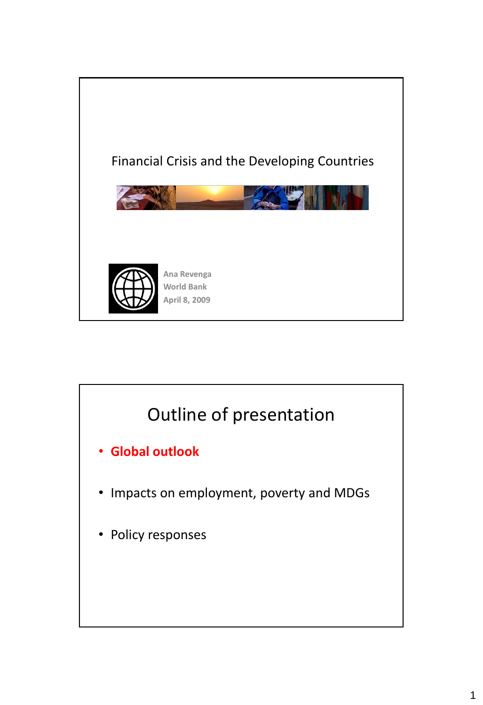

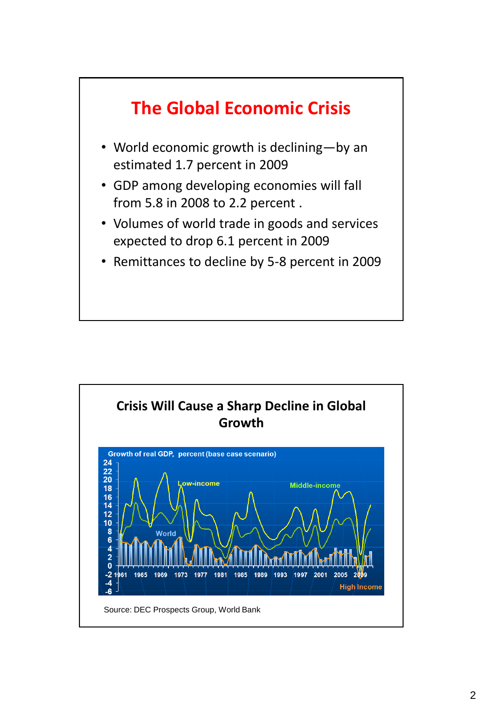

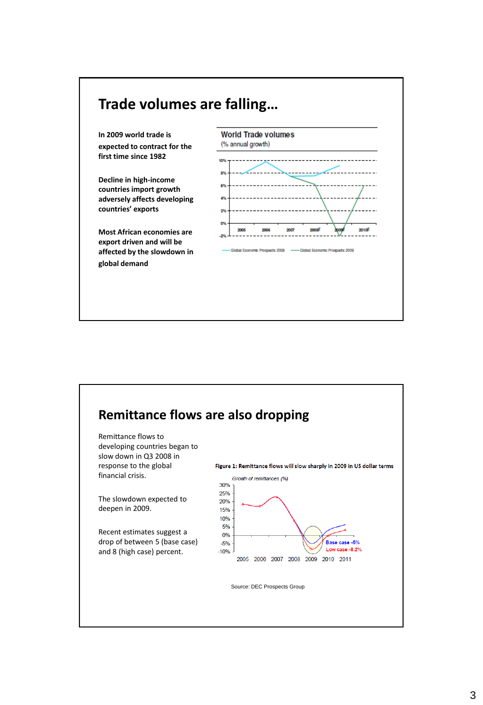

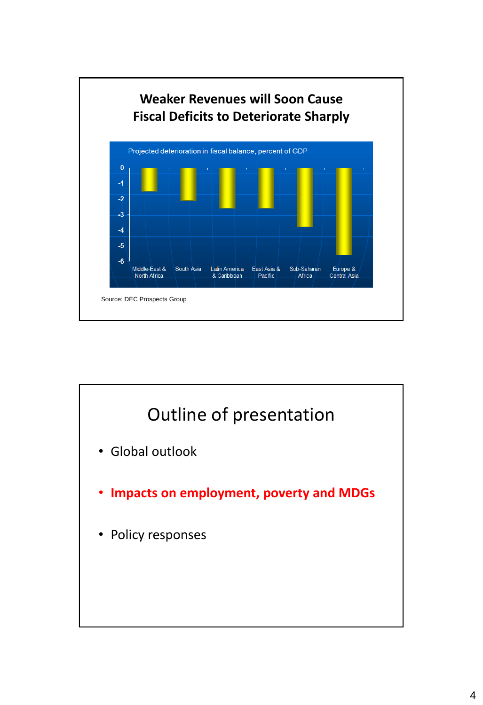

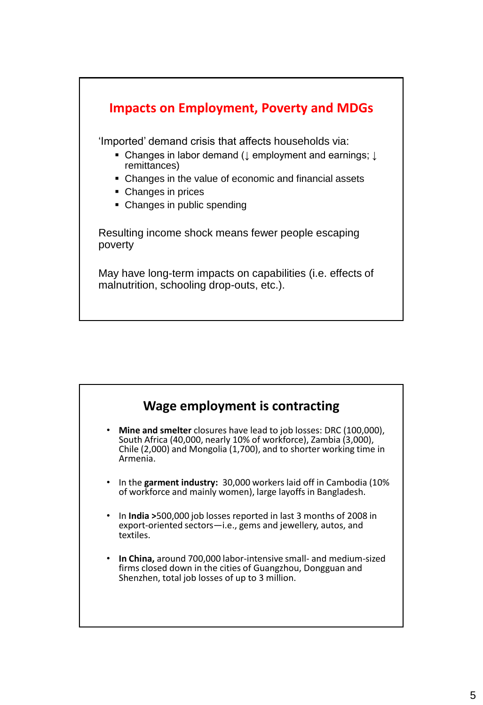

| Wage employment is contracting                                                                                                                                                                                                             |  |
|--------------------------------------------------------------------------------------------------------------------------------------------------------------------------------------------------------------------------------------------|--|
| <b>Mine and smelter</b> closures have lead to job losses: DRC (100,000),<br>$\bullet$<br>South Africa (40,000, nearly 10% of workforce), Zambia (3,000),<br>Chile (2,000) and Mongolia (1,700), and to shorter working time in<br>Armenia. |  |
| In the garment industry: 30,000 workers laid off in Cambodia (10%)<br>$\bullet$<br>of workforce and mainly women), large layoffs in Bangladesh.                                                                                            |  |
| In <b>India &gt;</b> 500,000 job losses reported in last 3 months of 2008 in<br>$\bullet$<br>export-oriented sectors-i.e., gems and jewellery, autos, and<br>textiles.                                                                     |  |
| <b>In China, around 700,000 labor-intensive small- and medium-sized</b><br>$\bullet$<br>firms closed down in the cities of Guangzhou, Dongguan and<br>Shenzhen, total job losses of up to 3 million.                                       |  |
|                                                                                                                                                                                                                                            |  |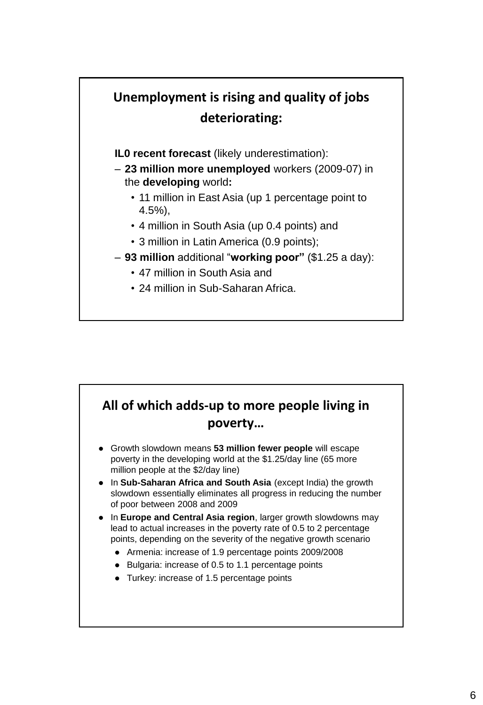## **Unemployment is rising and quality of jobs deteriorating:**

**IL0 recent forecast** (likely underestimation):

- **23 million more unemployed** workers (2009-07) in the **developing** world**:**
	- 11 million in East Asia (up 1 percentage point to 4.5%),
	- 4 million in South Asia (up 0.4 points) and
	- 3 million in Latin America (0.9 points);
- **93 million** additional "**working poor"** (\$1.25 a day):
	- 47 million in South Asia and
	- 24 million in Sub-Saharan Africa.

## **All of which adds-up to more people living in poverty…**

- Growth slowdown means **53 million fewer people** will escape poverty in the developing world at the \$1.25/day line (65 more million people at the \$2/day line)
- In **Sub-Saharan Africa and South Asia** (except India) the growth slowdown essentially eliminates all progress in reducing the number of poor between 2008 and 2009
- In **Europe and Central Asia region**, larger growth slowdowns may lead to actual increases in the poverty rate of 0.5 to 2 percentage points, depending on the severity of the negative growth scenario
	- Armenia: increase of 1.9 percentage points 2009/2008
	- Bulgaria: increase of 0.5 to 1.1 percentage points
	- Turkey: increase of 1.5 percentage points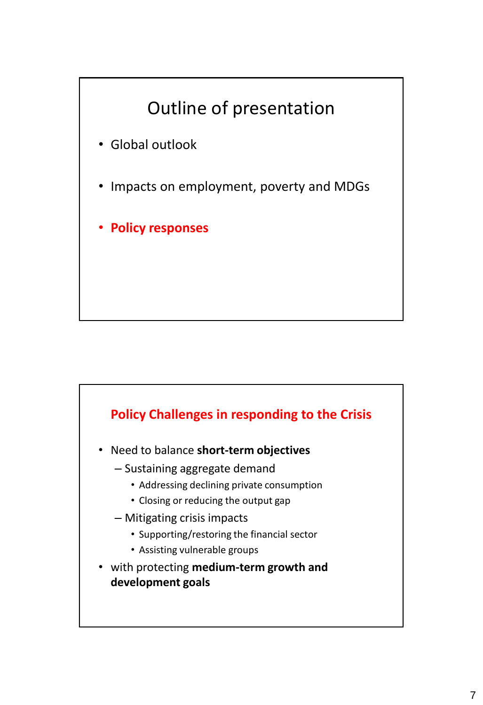

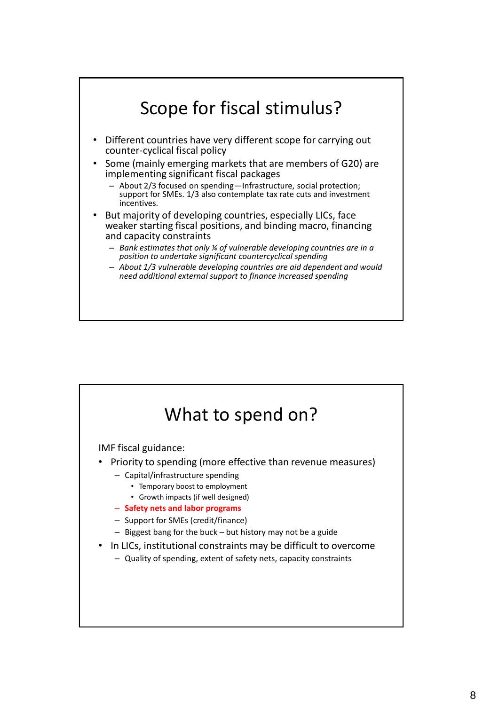